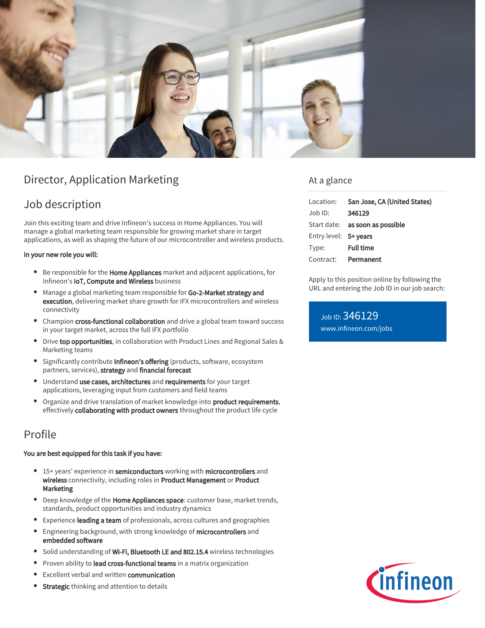

# Director, Application Marketing

# Job description

Join this exciting team and drive Infineon's success in Home Appliances. You will manage a global marketing team responsible for growing market share in target applications, as well as shaping the future of our microcontroller and wireless products.

#### In your new role you will:

- Be responsible for the **Home Appliances** market and adjacent applications, for Infineon's IoT, Compute and Wireless business
- Manage a global marketing team responsible for Go-2-Market strategy and execution, delivering market share growth for IFX microcontrollers and wireless connectivity
- Champion cross-functional collaboration and drive a global team toward success in your target market, across the full IFX portfolio
- **Drive top opportunities**, in collaboration with Product Lines and Regional Sales & Marketing teams
- Significantly contribute Infineon's offering (products, software, ecosystem partners, services), strategy and financial forecast
- Understand use cases, architectures and requirements for your target applications, leveraging input from customers and field teams
- Organize and drive translation of market knowledge into product requirements, effectively collaborating with product owners throughout the product life cycle

# Profile

### You are best equipped for this task if you have:

- <sup>o</sup> 15+ years' experience in semiconductors working with microcontrollers and wireless connectivity, including roles in Product Management or Product Marketing
- **•** Deep knowledge of the **Home Appliances space**: customer base, market trends, standards, product opportunities and industry dynamics
- Experience leading a team of professionals, across cultures and geographies
- Engineering background, with strong knowledge of microcontrollers and  $\bullet$ embedded software
- **Solid understanding of Wi-Fi, Bluetooth LE and 802.15.4** wireless technologies
- Proven ability to lead cross-functional teams in a matrix organization  $\bullet$
- Excellent verbal and written communication
- **Strategic** thinking and attention to details

### At a glance

| Location:             | San Jose, CA (United States)           |
|-----------------------|----------------------------------------|
| Job ID:               | 346129                                 |
|                       | Start date: <b>as soon as possible</b> |
| Entry level: 5+ years |                                        |
| Type:                 | <b>Full time</b>                       |
| Contract: Permanent   |                                        |

Apply to this position online by following the URL and entering the Job ID in our job search:

Job ID: 346129 [www.infineon.com/jobs](https://www.infineon.com/jobs)

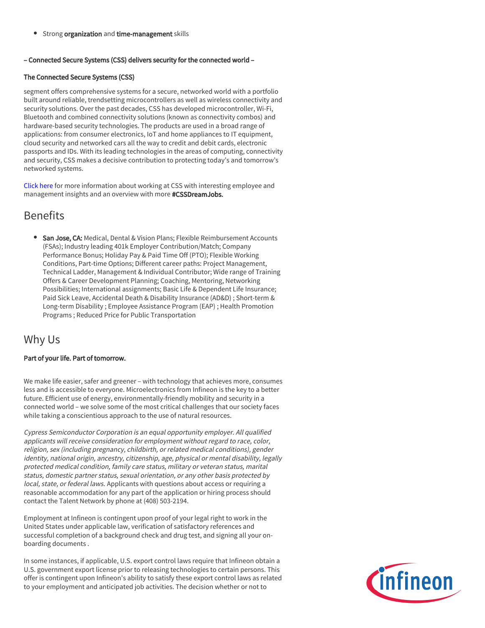Strong organization and time-management skills

### – Connected Secure Systems (CSS) delivers security for the connected world –

### The Connected Secure Systems (CSS)

segment offers comprehensive systems for a secure, networked world with a portfolio built around reliable, trendsetting microcontrollers as well as wireless connectivity and security solutions. Over the past decades, CSS has developed microcontroller, Wi-Fi, Bluetooth and combined connectivity solutions (known as connectivity combos) and hardware-based security technologies. The products are used in a broad range of applications: from consumer electronics, IoT and home appliances to IT equipment, cloud security and networked cars all the way to credit and debit cards, electronic passports and IDs. With its leading technologies in the areas of computing, connectivity and security, CSS makes a decisive contribution to protecting today's and tomorrow's networked systems.

[Click here](https://www.infineon.com/cms/en/careers/working-at-infineon/cssdreamjob/) for more information about working at CSS with interesting employee and management insights and an overview with more #CSSDreamJobs.

# **Benefits**

**San Jose, CA:** Medical, Dental & Vision Plans; Flexible Reimbursement Accounts (FSAs); Industry leading 401k Employer Contribution/Match; Company Performance Bonus; Holiday Pay & Paid Time Off (PTO); Flexible Working Conditions, Part-time Options; Different career paths: Project Management, Technical Ladder, Management & Individual Contributor; Wide range of Training Offers & Career Development Planning; Coaching, Mentoring, Networking Possibilities; International assignments; Basic Life & Dependent Life Insurance; Paid Sick Leave, Accidental Death & Disability Insurance (AD&D) ; Short-term & Long-term Disability ; Employee Assistance Program (EAP) ; Health Promotion Programs ; Reduced Price for Public Transportation

## Why Us

### Part of your life. Part of tomorrow.

We make life easier, safer and greener – with technology that achieves more, consumes less and is accessible to everyone. Microelectronics from Infineon is the key to a better future. Efficient use of energy, environmentally-friendly mobility and security in a connected world – we solve some of the most critical challenges that our society faces while taking a conscientious approach to the use of natural resources.

Cypress Semiconductor Corporation is an equal opportunity employer. All qualified applicants will receive consideration for employment without regard to race, color, religion, sex (including pregnancy, childbirth, or related medical conditions), gender identity, national origin, ancestry, citizenship, age, physical or mental disability, legally protected medical condition, family care status, military or veteran status, marital status, domestic partner status, sexual orientation, or any other basis protected by local, state, or federal laws. Applicants with questions about access or requiring a reasonable accommodation for any part of the application or hiring process should contact the Talent Network by phone at (408) 503-2194.

Employment at Infineon is contingent upon proof of your legal right to work in the United States under applicable law, verification of satisfactory references and successful completion of a background check and drug test, and signing all your onboarding documents .

In some instances, if applicable, U.S. export control laws require that Infineon obtain a U.S. government export license prior to releasing technologies to certain persons. This offer is contingent upon Infineon's ability to satisfy these export control laws as related to your employment and anticipated job activities. The decision whether or not to